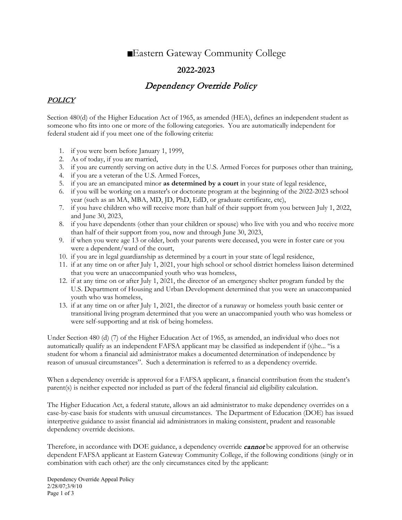# Eastern Gateway Community College

## **2022-2023**

## Dependency Override Policy

### POLICY

Section 480(d) of the Higher Education Act of 1965, as amended (HEA), defines an independent student as someone who fits into one or more of the following categories. You are automatically independent for federal student aid if you meet one of the following criteria:

- 1. if you were born before January 1, 1999,
- 2. As of today, if you are married,
- 3. if you are currently serving on active duty in the U.S. Armed Forces for purposes other than training,
- 4. if you are a veteran of the U.S. Armed Forces,
- 5. if you are an emancipated minor **as determined by a court** in your state of legal residence,
- 6. if you will be working on a master's or doctorate program at the beginning of the 2022-2023 school year (such as an MA, MBA, MD, JD, PhD, EdD, or graduate certificate, etc),
- 7. if you have children who will receive more than half of their support from you between July 1, 2022, and June 30, 2023,
- 8. if you have dependents (other than your children or spouse) who live with you and who receive more than half of their support from you, now and through June 30, 2023,
- 9. if when you were age 13 or older, both your parents were deceased, you were in foster care or you were a dependent/ward of the court,
- 10. if you are in legal guardianship as determined by a court in your state of legal residence,
- 11. if at any time on or after July 1, 2021, your high school or school district homeless liaison determined that you were an unaccompanied youth who was homeless,
- 12. if at any time on or after July 1, 2021, the director of an emergency shelter program funded by the U.S. Department of Housing and Urban Development determined that you were an unaccompanied youth who was homeless,
- 13. if at any time on or after July 1, 2021, the director of a runaway or homeless youth basic center or transitional living program determined that you were an unaccompanied youth who was homeless or were self-supporting and at risk of being homeless.

Under Section 480 (d) (7) of the Higher Education Act of 1965, as amended, an individual who does not automatically qualify as an independent FAFSA applicant may be classified as independent if (s)he... "is a student for whom a financial aid administrator makes a documented determination of independence by reason of unusual circumstances". Such a determination is referred to as a dependency override.

When a dependency override is approved for a FAFSA applicant, a financial contribution from the student's parent(s) is neither expected nor included as part of the federal financial aid eligibility calculation.

The Higher Education Act, a federal statute, allows an aid administrator to make dependency overrides on a case-by-case basis for students with unusual circumstances. The Department of Education (DOE) has issued interpretive guidance to assist financial aid administrators in making consistent, prudent and reasonable dependency override decisions.

Therefore, in accordance with DOE guidance, a dependency override **cannot** be approved for an otherwise dependent FAFSA applicant at Eastern Gateway Community College, if the following conditions (singly or in combination with each other) are the only circumstances cited by the applicant: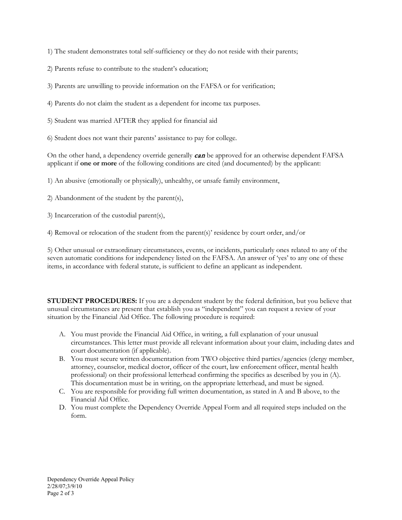1) The student demonstrates total self-sufficiency or they do not reside with their parents;

2) Parents refuse to contribute to the student's education;

3) Parents are unwilling to provide information on the FAFSA or for verification;

4) Parents do not claim the student as a dependent for income tax purposes.

5) Student was married AFTER they applied for financial aid

6) Student does not want their parents' assistance to pay for college.

On the other hand, a dependency override generally **can** be approved for an otherwise dependent FAFSA applicant if **one or more** of the following conditions are cited (and documented) by the applicant:

1) An abusive (emotionally or physically), unhealthy, or unsafe family environment,

2) Abandonment of the student by the parent(s),

3) Incarceration of the custodial parent(s),

4) Removal or relocation of the student from the parent(s)' residence by court order, and/or

5) Other unusual or extraordinary circumstances, events, or incidents, particularly ones related to any of the seven automatic conditions for independency listed on the FAFSA. An answer of 'yes' to any one of these items, in accordance with federal statute, is sufficient to define an applicant as independent.

**STUDENT PROCEDURES:** If you are a dependent student by the federal definition, but you believe that unusual circumstances are present that establish you as "independent" you can request a review of your situation by the Financial Aid Office. The following procedure is required:

- A. You must provide the Financial Aid Office, in writing, a full explanation of your unusual circumstances. This letter must provide all relevant information about your claim, including dates and court documentation (if applicable).
- B. You must secure written documentation from TWO objective third parties/agencies (clergy member, attorney, counselor, medical doctor, officer of the court, law enforcement officer, mental health professional) on their professional letterhead confirming the specifics as described by you in (A). This documentation must be in writing, on the appropriate letterhead, and must be signed.
- C. You are responsible for providing full written documentation, as stated in A and B above, to the Financial Aid Office.
- D. You must complete the Dependency Override Appeal Form and all required steps included on the form.